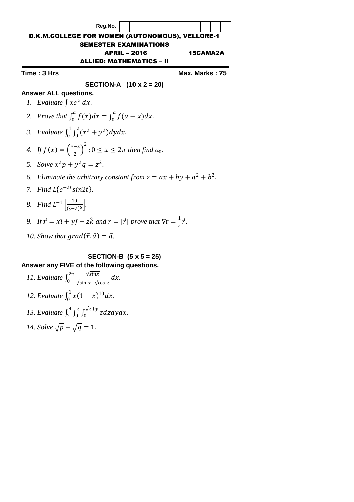

## **SECTION-B (5 x 5 = 25)**

## **Answer any FIVE of the following questions.**

\n- 11. Evaluate 
$$
\int_0^{2\pi} \frac{\sqrt{\sin x}}{\sqrt{\sin x} + \sqrt{\cos x}} dx
$$
.
\n- 12. Evaluate  $\int_0^1 x (1 - x)^{10} dx$ .
\n- 13. Evaluate  $\int_2^4 \int_0^x \int_0^{\sqrt{x} + y} z \, dz \, dy \, dx$ .
\n- 14. Solve  $\sqrt{p} + \sqrt{q} = 1$ .
\n